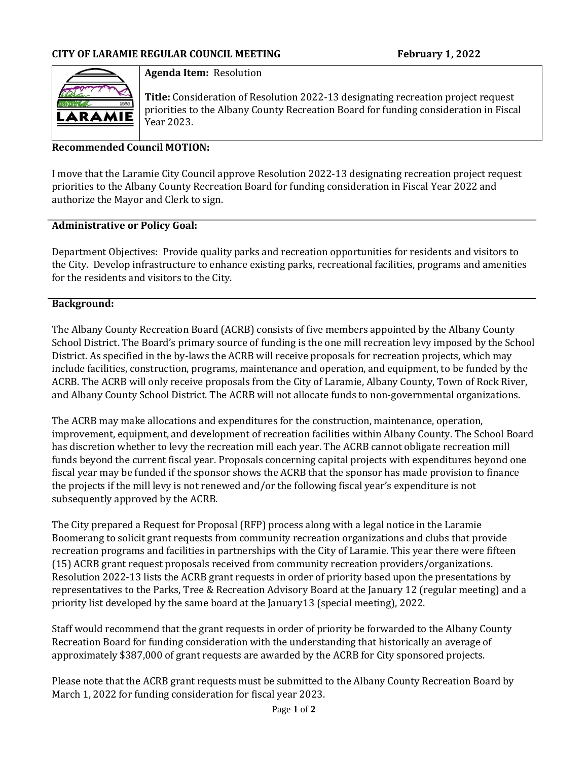

### **Agenda Item:** Resolution

**Title:** Consideration of Resolution 2022-13 designating recreation project request priorities to the Albany County Recreation Board for funding consideration in Fiscal Year 2023.

### **Recommended Council MOTION:**

I move that the Laramie City Council approve Resolution 2022-13 designating recreation project request priorities to the Albany County Recreation Board for funding consideration in Fiscal Year 2022 and authorize the Mayor and Clerk to sign.

#### **Administrative or Policy Goal:**

Department Objectives: Provide quality parks and recreation opportunities for residents and visitors to the City. Develop infrastructure to enhance existing parks, recreational facilities, programs and amenities for the residents and visitors to the City.

#### **Background:**

The Albany County Recreation Board (ACRB) consists of five members appointed by the Albany County School District. The Board's primary source of funding is the one mill recreation levy imposed by the School District. As specified in the by-laws the ACRB will receive proposals for recreation projects, which may include facilities, construction, programs, maintenance and operation, and equipment, to be funded by the ACRB. The ACRB will only receive proposals from the City of Laramie, Albany County, Town of Rock River, and Albany County School District. The ACRB will not allocate funds to non-governmental organizations.

The ACRB may make allocations and expenditures for the construction, maintenance, operation, improvement, equipment, and development of recreation facilities within Albany County. The School Board has discretion whether to levy the recreation mill each year. The ACRB cannot obligate recreation mill funds beyond the current fiscal year. Proposals concerning capital projects with expenditures beyond one fiscal year may be funded if the sponsor shows the ACRB that the sponsor has made provision to finance the projects if the mill levy is not renewed and/or the following fiscal year's expenditure is not subsequently approved by the ACRB.

The City prepared a Request for Proposal (RFP) process along with a legal notice in the Laramie Boomerang to solicit grant requests from community recreation organizations and clubs that provide recreation programs and facilities in partnerships with the City of Laramie. This year there were fifteen (15) ACRB grant request proposals received from community recreation providers/organizations. Resolution 2022-13 lists the ACRB grant requests in order of priority based upon the presentations by representatives to the Parks, Tree & Recreation Advisory Board at the January 12 (regular meeting) and a priority list developed by the same board at the January13 (special meeting), 2022.

Staff would recommend that the grant requests in order of priority be forwarded to the Albany County Recreation Board for funding consideration with the understanding that historically an average of approximately \$387,000 of grant requests are awarded by the ACRB for City sponsored projects.

Please note that the ACRB grant requests must be submitted to the Albany County Recreation Board by March 1, 2022 for funding consideration for fiscal year 2023.